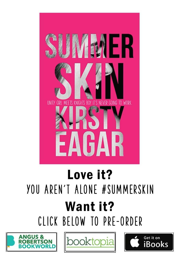

## Love it? YOU AREN'T ALONE #SUMMERSKIN Want it? clickbelowtopre-order





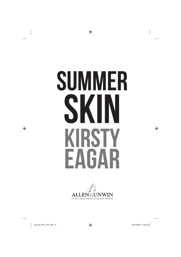# SUMMER SKIN KIRSTY EAGAR

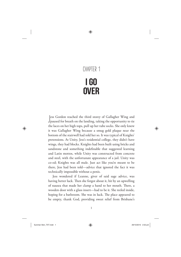### **Chapter 1**I go **OVER**

**J**ess Gordon reached the third storey of Gallagher Wing and paused for breath on the landing, taking the opportunity to tie ess Gordon reached the third storey of Gallagher Wing and the laces on her high tops, pull up her tube socks. She only knew it was Gallagher Wing because a smug gold plaque near the bottom of the stairwell had told her so. It was typical of Knights' pretensions. At Unity, Jess's residential college, they didn't have wings, they had blocks. Knights had been built using bricks and sandstone and something indefinable that suggested learning and Latin mottos, while Unity was constructed from concrete and steel, with the unfortunate appearance of a jail. Unity was co-ed; Knights was all male. Just act like you're meant to be there, Jess had been told—advice that ignored the fact it was technically impossible without a penis.

Jess wondered if Leanne, giver of said sage advice, was having better luck. Then she forgot about it, hit by an upwelling of nausea that made her clamp a hand to her mouth. There, a wooden door with a glass insert—had to be it. She reeled inside, hoping for a bathroom. She was in luck. The place appeared to be empty, thank God, providing sweet relief from Brisbane's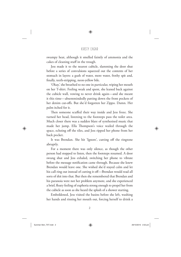swampy heat, although it smelled faintly of ammonia and the cakes of cleaning stuff in the trough.

Jess made it to the nearest cubicle, slamming the door shut before a series of convulsions squeezed out the contents of her stomach in layers: a gush of water, more water, frothy spit and, finally, teeth-stripping, neon-yellow bile.

'Okay,' she breathed to no one in particular, wiping her mouth on her T-shirt. Feeling weak and spent, she leaned back against the cubicle wall, vowing to never drink again—and she meant it this time—absentmindedly patting down the front pockets of her denim cut-offs. But she'd forgotten her Zippo. Damn. Her palm itched for it.

Then someone scuffed their way inside and Jess froze. She turned her head, listening to the footsteps pass the toilet area. Much closer there was a sudden blare of synthesised music that made her jump. Ella Thompson's voice wailed through the space, echoing off the tiles, and Jess ripped her phone from her back pocket.

It was Brendan. She hit 'Ignore', cutting off the ringtone abruptly.

For a moment there was only silence, as though the other person had stopped to listen, then the footsteps resumed. A door swung shut and Jess exhaled, switching her phone to vibrate before the message notification came through. Because she knew Brendan would leave one. She wished she'd stayed calm and let his call ring out instead of cutting it off—Brendan would read all sorts of shit into that. But then she remembered that Brendan and his paranoia were not her problem anymore, and she experienced a brief, floaty feeling of euphoria strong enough to propel her from the cubicle as soon as she heard the splash of a shower starting.

Emboldened, Jess visited the basins before she left, washing her hands and rinsing her mouth out, forcing herself to drink a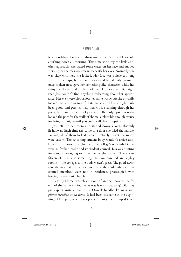few mouthfuls of water. So thirsty—she hadn't been able to hold anything down all morning. This time she'd try the little-andoften approach. She patted some water on her face and rubbed viciously at the mascara smears beneath her eyes. Normally, she was okay with how she looked. Her face was a little too long and thin perhaps, but a few freckles and her slightly crooked, once-broken nose gave her something like character, while her shiny hazel eyes and smile made people notice her. But right then Jess couldn't find anything redeeming about her appearance. Her eyes were bloodshot; her smile was MIA; she officially looked like shit. On top of that, she smelled like a night club: beer, goon, and *port*, so help her, God, steaming through her pores; her hair a stale, smoky curtain. The only upside was she looked the part for the walk of shame, a plausible enough excuse for being at Knights—if you could call that an upside.

Jess left the bathroom and started down a long, gloomily lit hallway. Each time she came to a door she tried the handle. Locked, all of them locked, which probably meant the rooms were vacant. The returning student body wouldn't arrive until later that afternoon. Right then, the college's only inhabitants were its fresher intake and its student council. Jess was hunting for a room belonging to a member of the council. There were fifteen of them and something like two hundred and eighty rooms in the college, so the odds weren't great. The good news, though, was that for the next hour or so she could safely assume council members were not in residence, preoccupied with hosting a ceremonial lunch.

'Leaving Home' was blasting out of an open door at the far end of the hallway. God, what was it with that song? Did they put explicit instructions in the O-week handbook? *Thou must playest Jebediah at all times*. It had been the same at the beginning of last year, when Jess's peers at Unity had pumped it out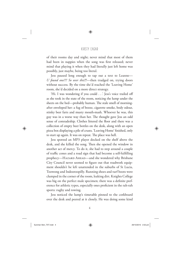of their rooms day and night; never mind that most of them had been in nappies when the song was first released; never mind that playing it when they had literally just left home was possibly, just maybe, being too literal.

Jess paused long enough to tap out a text to Leanne— *U found one??? So over this!!!*—then trudged on, trying doors without success. By the time she'd reached the 'Leaving Home' room, she'd decided on a more direct strategy.

'Hi. I was wondering if you could . . .' Jess's voice trailed off as she took in the state of the room, noticing the lump under the sheets on the bed—probably human. The stale smell of morningafter enveloped her: a fug of booze, cigarette smoke, body odour, stinky beer farts and musty mouth-mash. Whoever he was, this guy was in a worse way than her. The thought gave Jess an odd sense of comradeship. Clothes littered the floor and there was a collection of empty beer bottles on the desk, along with an open pizza box displaying a pile of crusts. 'Leaving Home' finished, only to start up again. It was on repeat. The place was hell.

Jess spotted an MP3 player docked on the shelf above the desk, and she killed the song. Then she opened the window in another act of mercy. To do it, she had to step around a couple of traffic cones and a road sign that had become a self-fulfilling prophecy—HAZARD AHEAD—and she wondered why Brisbane City Council never seemed to figure out that roadwork equipment shouldn't be left unattended in the suburbs of St Lucia, Toowong and Indooroopilly. Running shoes and turf boots were clumped in the corner of the room, leaking dirt. Knights College was big on the perfect male specimen; there was a definite preference for athletic types, especially ones proficient in the rah-rah sports: rugby and rowing.

Jess noticed the lump's timetable pinned to the corkboard over the desk and peered at it closely. He was doing some kind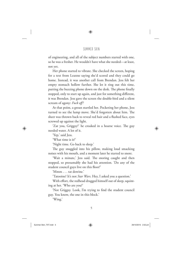of engineering, and all of the subject numbers started with one, so he was a fresher. He wouldn't have what she needed—at least, not yet.

Her phone started to vibrate. She checked the screen, hoping for a text from Leanne saying she'd scored and they could go home. Instead, it was another call from Brendan. Jess felt her empty stomach hollow further. She let it ring out this time, putting the buzzing phone down on the desk. The phone finally stopped, only to start up again, and just for something different, it was Brendan. Jess gave the screen the double-bird and a silent scream of agony: *Fuck off !*

At that point, a groan startled her. Pocketing her phone, Jess turned to see the lump move. She'd forgotten about him. The sheet was thrown back to reveal red hair and a flushed face, eyes screwed up against the light.

'Zat you, Griggsy?' he croaked in a hoarse voice. The guy needed water. A lot of it.

'Yep,' said Jess.

'What time is it?'

'Night time. Go back to sleep.'

The guy snuggled into his pillow, making loud smacking noises with his mouth, and a moment later he started to snore.

'Wait a minute,' Jess said. The snoring caught and then stopped, so presumably she had his attention. 'Do any of the student council guys live on this floor?'

'Mmm tat dowine.'

'Tatooine? It's not *Star Wars*. Hey, I asked you a question.'

With effort, the redhead dragged himself out of sleep, squinting at her. 'Who are you?'

'Not Griggsy. Look, I'm trying to find the student council guy. You know, the one in this block.'

'Wing.'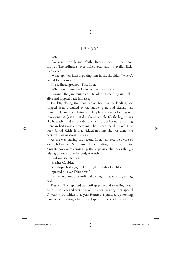'What?'

'Do you mean Jarrod Keith? Because he's . . . he's not, um . . .' The redhead's voice trailed away and his eyelids flickered closed.

'Wake up,' Jess hissed, poking him in the shoulder. 'Where's Jarrod Keith's room?'

The redhead groaned. 'First floor.'

'What room number? Come on, help me out here.'

'Dunno,' the guy mumbled. He added something unintelligible and toppled back into sleep.

Jess left, closing the door behind her. On the landing, she stopped dead, assaulted by the sudden glare and cicadas that sounded like summer chainsaws. Her phone started vibrating as if in response. As Jess squinted at the screen, she felt the beginnings of a headache, and she wondered which part of her not answering Brendan had trouble processing. She turned the thing off. First floor, Jarrod Keith. If that yielded nothing, she was done, she decided, starting down the stairs.

As she was passing the second floor, Jess became aware of voices below her. She rounded the landing and slowed. Five Knights boys were coming up the steps in a clump, as though relying on each other for body warmth.

'Did you see Henryk—'

'Fresher Gobbler'

A high-pitched giggle. 'That's right. Fresher Gobbler.'

'Spewed all over Tolu's shirt.'

'But what about that milkshake thing? That was disgusting, brah.'

Freshers. They sported camouflage paint and towelling headbands, and each and every one of them was wearing their special O-week shirt, which that year featured a pumped-up looking Knight brandishing a big barbed spear, his knees bent with its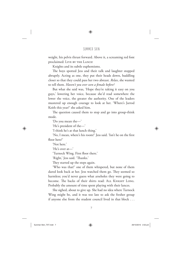weight, his pelvis thrust forward. Above it, a screaming red font proclaimed: LIVE BY THE LANCE!

Knights and its subtle euphemisms.

The boys spotted Jess and their talk and laughter stopped abruptly. Acting as one, they put their heads down, huddling closer so that they could pass her two abreast. *Relax*, she wanted to tell them. *Haven't you ever seen a female before?*

But what she said was, 'Hope they're taking it easy on you guys,' lowering her voice, because she'd read somewhere the lower the voice, the greater the authority. One of the leaders mustered up enough courage to look at her. 'Where's Jarrod Keith this year?' she asked him.

The question caused them to stop and go into group-think mode.

'Do you mean the—'

'He's president of the—'

'I think he's at that lunch thing.'

'No, I mean, where's his room?' Jess said. 'Isn't he on the first floor here?'

'Not here.'

'He's over at—'

'Turnock Wing. First floor there.'

'Right,' Jess said. 'Thanks.'

They started up the steps again.

'Who was that?' one of them whispered, but none of them dared look back at her. Jess watched them go. They seemed so harmless; you'd never guess what arseholes they were going to become. The backs of their shirts read: ALL KNIGHT LONG. Probably the amount of time spent playing with their lances.

She sighed, about to give up. She had no idea where Turnock Wing might be, and it was too late to ask the fresher group if anyone else from the student council lived in that block . . .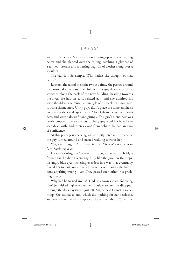wing . . . whatever. She heard a door swing open on the landing below and she glanced over the railing, catching a glimpse of a tanned forearm and a netting bag full of clothes slung over a shoulder.

The laundry. So simple. Why hadn't she thought of that before?

Jess took the rest of the stairs two at a time. She peeked around the bottom doorway and then followed the guy down a path that stretched along the back of the next building, heading towards the river. He had an easy, relaxed gait, and she admired his wide shoulders, the muscular triangle of his back. His nice arse. It was a shame more Unity guys didn't place the same emphasis on being perfect male specimens. A lot of them had gamer shoulders, and were pale, unfit and grungy. This guy's blond hair was neatly cropped, the sort of cut a Unity guy wouldn't have been seen dead with, and, even viewed from behind, he had an aura of confi dence.

At that point Jess's perving was abruptly interrupted, because the guy turned around and started walking towards her.

*Shit*, she thought. And then: *Just act like you're meant to be here. Smile, say hello*.

He was wearing the O-week shirt, too, so he was probably a fresher, but he didn't seem anything like the guys on the steps, his angry blue eyes flickering over Jess in a way that eventually forced her to look away. She felt busted, even though she hadn't done anything wrong—yet. They passed each other in a prickling silence.

Why had he turned around? Had he known she was following him? Jess risked a glance over her shoulder to see him disappear through the doorway they'd just left. Maybe he'd forgotten something. She started to run, which did nothing for her headache, and was relieved when she spotted clotheslines ahead. When she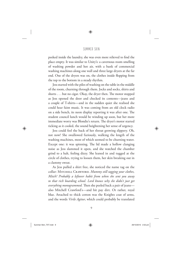peeked inside the laundry, she was even more relieved to find the place empty. It was similar to Unity's: a cavernous room smelling of washing powder and hot air, with a bank of commercial washing machines along one wall and three large dryers at the far end. One of the dryers was on, the clothes inside flopping from the top to the bottom in a steady rhythm.

Jess started with the piles of washing on the table in the middle of the room, churning through them. Jocks and socks, shirts and shorts  $\dots$  but no cigar. Okay, the dryer then. The motor stopped as Jess opened the door and checked its contents—jeans and a couple of T-shirts—and in the sudden quiet she realised she could hear faint music. It was coming from an old clock radio on a side bench, its neon display reporting it was after one. The student council lunch would be winding up soon, but her more immediate worry was Blondie's return. The dryer's motor started ticking as it cooled, the sound heightening her sense of urgency.

Jess could feel the back of her throat growing slippery. Oh, not now! She swallowed furiously, walking the length of the washing machines, most of which seemed to be churning water. Except one: it was spinning. The lid made a hollow clanging noise as Jess slammed it open, and she watched the chamber grind to a halt, feeling dizzy. She leaned in and tugged at the circle of clothes, trying to loosen them, her skin breaking out in a clammy sweat.

As Jess pulled a shirt free, she noticed the name tag on the collar: MITCHELL CRAWFORD. Mummy still tagging your clothes, *Mitch? Probably a leftover habit from when she sent you away to that rich boarding school. Lord knows why she didn't just get everything monogrammed.* Then she peeled back a pair of jeans also Mitchell Crawford's—and hit pay dirt. Or rather, royal blue. Attached to thick cotton was the Knights coat of arms, and the words *Virile Agitur*, which could probably be translated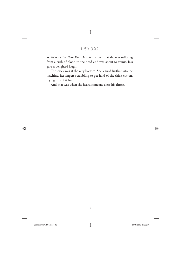as *We're Better Than You*. Despite the fact that she was suffering from a rush of blood to the head and was about to vomit, Jess gave a delighted laugh.

The jersey was at the very bottom. She leaned further into the machine, her fingers scrabbling to get hold of the thick cotton, trying to reef it free.

And that was when she heard someone clear his throat.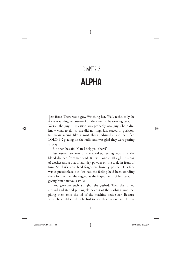### **Chapter 2ALPHA**

Jess froze. There was a guy. Watching her. Well, technically, he was watching her arse—of all the times to be wearing cut-offs. less froze. There was a guy. Watching her. Well, technically, he Worse, the guy in question was probably *that* guy. She didn't know what to do, so she did nothing, just stayed in position, her heart racing like a mad thing. Absurdly, she identified LOLO BX playing on the radio and was glad they were getting airplay.

But then he said, 'Can I help you there?'

Jess turned to look at the speaker, feeling woozy as the blood drained from her head. It was Blondie, all right, his bag of clothes and a box of laundry powder on the table in front of him. So that's what he'd forgotten: laundry powder. His face was expressionless, but Jess had the feeling he'd been standing there for a while. She tugged at the frayed hems of her cut-offs, giving him a nervous smile.

'You gave me such a fright!' she gushed. Then she turned around and started pulling clothes out of the washing machine, piling them onto the lid of the machine beside her. Because what else could she do? She had to ride this one out, act like she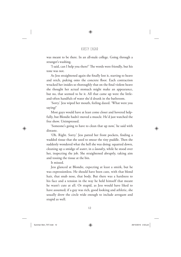was meant to be there. In an all-male college. Going through a stranger's washing.

'I said, can I help you there?' The words were friendly, but his tone was not.

As Jess straightened again she finally lost it, starting to heave and retch, puking onto the concrete floor. Each contraction wracked her insides so thoroughly that on the final violent heave she thought her actual stomach might make an appearance, but no, that seemed to be it. All that came up were the littleand-often handfuls of water she'd drunk in the bathroom.

'Sorry.' Jess wiped her mouth, feeling dazed. 'What were you saying?'

Most guys would have at least come closer and hovered helpfully, but Blondie hadn't moved a muscle. He'd just watched the free show. Unimpressed.

'Someone's going to have to clean that up now,' he said with distaste.

'Oh. Right. Sorry.' Jess patted her front pockets, finding a wadded tissue that she used to smear the tiny puddle. Then she suddenly wondered what the hell she was doing: squatted down, cleaning up a smidge of *water*, in a *laundry*, while he stood over her, inspecting the job. She straightened abruptly, taking aim and tossing the tissue at the bin.

It missed.

Jess glanced at Blondie, expecting at least a smirk, but he was expressionless. He should have been cute, with that blond hair, that snub nose, that body. But there was a hardness to his face and a tension in the way he held himself that meant he wasn't cute at all. Or stupid, as Jess would have liked to have assumed; if a guy was rich, good looking and athletic, she usually drew the circle wide enough to include arrogant and stupid as well.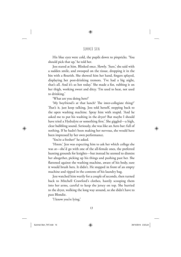His blue eyes were cold, the pupils down to pinpricks. 'You should pick that up,' he told her.

Jess stared at him. Blinked once. Slowly. 'Sure,' she said with a sudden smile, and swooped on the tissue, dropping it in the bin with a flourish. She showed him her hand, fingers splayed, displaying her post-drinking tremors. 'I've had a big night, that's all. And it's so hot today.' She made a fist, rubbing it on her thigh, working sweet and ditzy. 'I'm used to heat, not used to drinking.'

'What are you doing here?'

'My boyfriend's at that lunch? The inter-collegiate thing?' That's it, just keep talking, Jess told herself, stepping back to the open washing machine. Spray him with stupid. 'And he asked me to put his washing in the dryer? But maybe I should have tried a Hydralyte or something first.' She giggled—a high, clear bubbling sound. Seriously, she was like an Aero bar: full of nothing. If he hadn't been making her nervous, she would have been impressed by her own performance.

'You're a fresher?' he asked.

'Hmm.' Jess was expecting him to ask her which college she was at—she'd go with one of the all-female ones, the preferred hunting grounds for knights—but instead he seemed to dismiss her altogether, picking up his things and pushing past her. She flattened against the washing machine, aware of his body, sure it would brush hers. It didn't. He stopped in front of an empty machine and tipped in the contents of his laundry bag.

Jess watched him warily for a couple of seconds, then turned back to Mitchell Crawford's clothes, hastily scooping them into her arms, careful to keep the jersey on top. She hurried to the dryer, walking the long way around, so she didn't have to pass Blondie.

'I know you're lying.'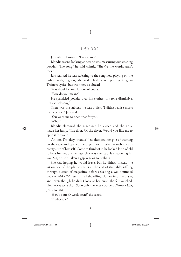Jess whirled around. 'Excuse me?'

Blondie wasn't looking at her; he was measuring out washing powder. 'The song,' he said calmly. 'They're the words, aren't they?'

Jess realised he was referring to the song now playing on the radio. 'Yeah, I guess,' she said. He'd been repeating Meghan Trainor's lyrics, but was there a subtext?

'You should know. It's one of yours.'

'How do you mean?'

He sprinkled powder over his clothes, his tone dismissive. 'It's a chick song.'

There was the subtext: he was a dick. 'I didn't realise music had a gender,' Jess said.

'You want me to open that for you?'

'What?'

Blondie slammed the machine's lid closed and the noise made her jump. 'The door. Of the dryer. Would you like me to open it for you?'

'Ah, no. I'm okay, thanks.' Jess dumped her pile of washing on the table and opened the dryer. For a fresher, somebody was pretty sure of himself. Come to think of it, he looked kind of old to be a fresher, but perhaps that was the stubble shadowing his jaw. Maybe he'd taken a gap year or something.

She was hoping he would leave, but he didn't. Instead, he sat on one of the plastic chairs at the end of the table, riffling through a stack of magazines before selecting a well-thumbed copy of *MAXIM*. Jess started shovelling clothes into the dryer, and, even though he didn't look at her once, she felt watched. Her nerves were shot. Soon only the jersey was left. *Distract him*, Jess thought.

'How's your O-week been?' she asked. 'Predictable.'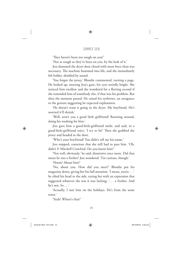'They haven't been too rough on you?'

'Not as rough as they've been on you, by the look of it.'

Jess slammed the dryer door closed with more force than was necessary. The machine hummed into life, and she immediately felt bolder, shielded by sound.

'You forgot the jersey,' Blondie commented, turning a page. He looked up, meeting Jess's gaze, his eyes weirdly bright. She noticed him swallow and she wondered for a fleeting second if she reminded him of somebody else, if that was his problem. But then the moment passed. He raised his eyebrows, an arrogance to the gesture suggesting he expected explanation.

'He doesn't want it going in the dryer. My boyfriend. He's worried it'll shrink.'

'Well, aren't you a good little girlfriend? Running around, doing his washing for him.'

Jess gave him a good-little-girlfriend smile, and said, in a good-little-girlfriend voice, 'I try to be!' Then she grabbed the jersey and headed to the door.

'Who's your boyfriend? You didn't tell me his name.'

Jess stopped, conscious that she still had to pass him. 'Oh, didn't I? Mitchell Crawford. Do you know him?'

'Not well, obviously.' he said, dismissive once more. Did that mean he was a fresher? Jess wondered. 'I'm curious, though.'

'Hmm? About him?'

'No, about you. How did you meet?' Blondie put his magazine down, giving her his full attention. 'I mean, you're . . .' he tilted his head to the side, eyeing her with an expression that suggested whatever she was it was lacking, '. . . a fresher. And he's not. So . . .'

'Actually, I met him on the holidays. He's from the same town.'

'Yeah? Where's that?'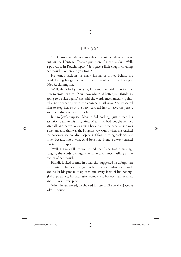'Rockhampton. We got together one night when we were out. At the Heritage. That's a pub there. I mean, a club. Well, a pub-club. In Rockhampton.' Jess gave a little cough, covering her mouth. 'Where are you from?'

He leaned back in his chair, his hands linked behind his head, letting his gaze come to rest somewhere below her eyes. 'Not Rockhampton.'

'Well, that's lucky. For you, I mean,' Jess said, ignoring the urge to cross her arms. 'You know what? I'd better go. I think I'm going to be sick again.' She said the words mechanically, pointedly, not bothering with the charade at all now. She expected him to stop her, or at the very least tell her to leave the jersey, and she didn't even care. Let him try.

But to Jess's surprise, Blondie did nothing, just turned his attention back to his magazine. Maybe he had bought her act after all, and he was only giving her a hard time because she was a woman, and that was the Knights way. Only, when she reached the doorway, she couldn't stop herself from turning back one last time. Because she'd won. And boys like Blondie always turned Jess into a bad sport.

'Well, I guess I'll see you round then,' she told him, singsonging the words, a smug little smile of triumph pulling at the corner of her mouth.

Blondie looked around in a way that suggested he'd forgotten she existed. His face changed as he processed what she'd said, and he let his gaze tally up each and every facet of her bedraggled appearance, his expression somewhere between amusement and . . . yes, it was pity.

When he answered, he showed his teeth, like he'd enjoyed a joke. 'I doubt it.'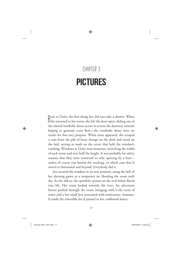### **Chapter 3PICTURES**

Pack at Unity, the first thing Jess did was take a shower. When<br>Dshe returned to her room, she left the door open, sliding one of Ushe returned to her room, she left the door open, sliding one of the slatted wardrobe doors across to screen the doorway instead, hoping to generate cross flow—the wardrobe doors were on tracks for that very purpose. When none appeared, she scraped a coin from the pile of loose change on the desk and stood on the bed, setting to work on the screw that held the window's tracking. Windows at Unity were immense, stretching the width of each room and over half the height. It was probably for safety reasons that they were restricted to only opening by a foot unless of course you busted the tracking, in which case they'd swivel to horizontal and beyond. Everybody did it.

Jess secured the window in its new position, using the belt of her dressing gown as a temporary tie, flooding the room with sky. As she did so, the sprinkler system on the oval below flared into life. Her room looked towards the river. An afternoon breeze pushed through the room, bringing with it the scent of water and a hot smell Jess associated with restlessness. Summer. It made the timetable she'd pinned to her corkboard dance.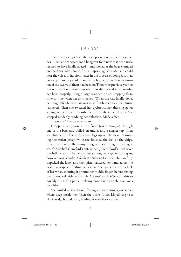She ate some chips from the open packet on the shelf above her desk—salt and vinegar; good hangover food now that her nausea seemed to have finally abated—and looked at the bags clumped on the floor. She should finish unpacking. Outside, she could hear the voices of her floormates in the process of doing just that, doors open so they could shout to each other from their rooms ten of the twelve of them had been on T-floor the previous year, so it was a reunion of sorts. But what Jess did instead was blow-dry her hair; properly, using a large rounded brush, stopping from time to time when her arms ached. When she was finally done, her long toffee-brown hair was at its full-bodied best, her fringe feathered. Then she tweezed her eyebrows, her dressing gown gaping as she leaned towards the mirror above her dresser. She stopped suddenly, studying her reflection. Made a face.

'I doubt it.' Her tone was sour.

Dropping her gown to the floor, Jess rummaged through one of the bags and pulled on undies and a singlet top. Then she slumped in her study chair, legs up on the desk, examining the stolen jersey while she finished the last of the chips. It was still damp. The funny thing was, according to the tag, it wasn't Mitchell Crawford's but, rather, Julian Lloyd's—whoever the hell he was. The person Jess's thoughts kept returning to, however, was Blondie. *I doubt it*. Using nail scissors, she carefully unpicked the label, and then pitter-pattered her hand across the desk like a spider, finding her Zippo. She opened it with a flick of her wrist, spinning it around her middle finger, before hitting the flint-wheel with her thumb. *Flick-spin-scritch!* Jess did this so quickly it wasn't a party trick anymore, but a twitch, a nervous condition.

She smiled at the flame, feeling an answering glow somewhere deep inside her. Then she burnt Julian Lloyd's tag to a blackened, charred crisp, holding it with her tweezers.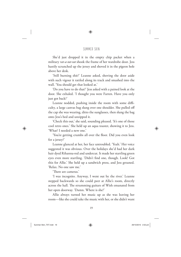She'd just dropped it in the empty chip packet when a military *rat-a-tat-tat* shook the frame of her wardrobe door. Jess hastily scrunched up the jersey and shoved it in the pigeon hole above her desk.

'Still burning shit?' Leanne asked, shoving the door aside with such vigour it rattled along its track and smashed into the wall. 'You should get that looked at.'

'Do you have to do that?' Jess asked with a pained look at the door. She exhaled. 'I thought you were Farren. Have you only just got back?'

Leanne nodded, pushing inside the room with some difficulty, a large canvas bag slung over one shoulder. She pulled off the cap she was wearing, ditto the sunglasses, then slung the bag onto Jess's bed and unzipped it.

'Check this out,' she said, sounding pleased. 'It's one of those cool retro ones.' She held up an aqua toaster, showing it to Jess. 'What? I needed a new one.'

'You're getting crumbs all over the floor. Did you even look for a jersey?'

Leanne glanced at her, her face untroubled. 'Yeah.' Her voice suggested it was obvious. Over the holidays she'd had her dark hair dyed Rihanna-red and undercut. It made her startling green eyes even more startling. 'Didn't find one, though. Look! Got this for Allie.' She held up a sandwich press, and Jess groaned. 'Relax. No one saw me.'

'Th ere are cameras.'

'I was incognito. Anyway, I went out by the river.' Leanne stepped backwards so she could peer at Allie's room, directly across the hall. The strumming guitars of Wish emanated from her open doorway. 'Damn. Where is she?'

Allie always turned her music up as she was leaving her room—like she could take the music with her, or she didn't want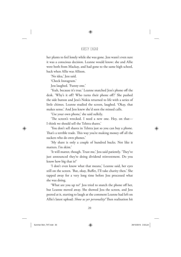her plants to feel lonely while she was gone. Jess wasn't even sure it was a conscious decision. Leanne would know: she and Allie were both from Mackay, and had gone to the same high school, back when Allie was Allison.

'No idea,' Jess said.

'Check Instagram.'

Jess laughed. 'Funny one.'

'Yeah, because it's true.' Leanne snatched Jess's phone off the desk. 'Why's it off? Who turns their phone off?' She pushed the side button and Jess's Nokia returned to life with a series of little chimes. Leanne studied the screen, laughed. 'Okay, that makes sense.' And Jess knew she'd seen the missed calls.

'Use your own phone,' she said sulkily.

'The screen's wrecked. I need a new one. Hey, on that-I think we should sell the Telstra shares.'

'You don't sell shares in Telstra just so you can buy a phone. That's a terrible trade. This way you're making money off all the suckers who do own phones.'

'My share is only a couple of hundred bucks. Not like it matters. I'm skint'

'It will matter, though. Trust me,' Jess said patiently. 'They've just announced they're doing dividend reinvestment. Do you know how big that is?'

'I don't even know what that means,' Leanne said, her eyes still on the screen. 'But, okay, Buffet, I'll take charity then.' She tapped away for a very long time before Jess processed what she was doing.

'What are you up to?' Jess tried to snatch the phone off her, but Leanne moved away. She showed Jess the screen, and Jess peered at it, starting to laugh at the comment Leanne had left on Allie's latest upload: *Show us yer personality!* Then realisation hit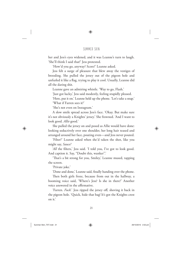her and Jess's eyes widened, and it was Leanne's turn to laugh. 'She'll think I said that!' Jess protested.

'How'd you go, anyway? Score?' Leanne asked.

Jess felt a surge of pleasure that blew away the vestiges of brooding. She pulled the jersey out of the pigeon hole and unfurled it like a flag, trying to play it cool. Usually, Leanne did all the daring shit.

Leanne gave an admiring whistle. 'Way to go, Flash.'

'Just got lucky,' Jess said modestly, feeling stupidly pleased.

'Here, put it on.' Leanne held up the phone. 'Let's take a snap.'

'What if Farren sees it?'

'She's not even on Instagram.'

A slow smile spread across Jess's face. 'Okay. But make sure it's not obviously a Knights' jersey.' She frowned. 'And I want to look good. *Allie* good.'

She pulled the jersey on and posed as Allie would have done: looking seductively over one shoulder, her long hair teased and arranged around her face, pouting even—and Jess never pouted.

'Filter?' Leanne asked when she'd taken the shot, like you might say, *Sauce?*

'*All* the filters,' Jess said. 'I told you, I've got to look good. And caption it. Say, "Doubt this, wanker".'

'That's a bit strong for you, Smiley,' Leanne mused, tapping the screen.

'Private joke.'

'Done and done,' Leanne said, finally handing over the phone.

Then both girls froze, because from out in the hallway, a booming voice said, 'Where's Jess? Is she in there?' Another voice answered in the affirmative.

'Farren. *Fuck*.' Jess ripped the jersey off, shoving it back in the pigeon hole. 'Quick, hide that bag! It's got the Knights crest on it.'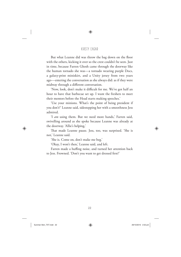But what Leanne did was throw the bag down on the floor with the others, kicking it over so the crest couldn't be seen. Just in time, because Farren Ghosh came through the doorway like the human tornado she was—a tornado wearing purple Docs, a galaxy-print miniskirt, and a Unity jersey from two years ago—entering the conversation as she always did: as if they were midway through a different conversation.

'Now, look, don't make it difficult for me. We've got half an hour to have that barbecue set up. I want the freshers to meet their mentors before the Head starts making speeches.'

'Use your minions. What's the point of being president if you don't?' Leanne said, sidestepping her with a smoothness Jess admired.

'I *am* using them. But we need more hands,' Farren said, swivelling around as she spoke because Leanne was already at the doorway. 'Allie's helping,'

That made Leanne pause. Jess, too, was surprised. 'She is not,' Leanne said.

'She is. Come on, don't make me beg.'

'Okay, I won't then,' Leanne said, and left.

Farren made a huffing noise, and turned her attention back to Jess. Frowned. 'Don't you want to get dressed first?'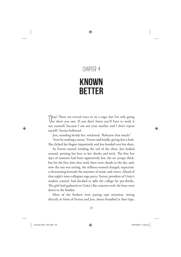### **Chapter 4**

### Known **BETTER**

**'**Okay! There are several ways to tie a toga, but I'm only going to show you one. If you don't listen you'll have to work it out yourself, because I am not your mother and I don't repeat myself,' Farren bellowed.

Jess, standing beside her, snickered. 'Rehearse that much?'

'Start by making a noose,' Farren said loudly, giving Jess a look. She clicked her fingers impatiently and Jess handed over her sheet.

As Farren started winding the tail of the sheet, Jess looked around, pressing her beer to her cheeks and neck. The first few days of semester had been oppressively hot, the air syrupy thick, but for the first time that week there were clouds in the sky, and, now the sun was setting, the stillness seemed charged, expectant: a thrumming beneath the murmur of music and voices. Ahead of that night's inter-collegiate toga party, Farren, president of Unity's student council, had decided to split the college for pre-drinks. The girls had gathered on Unity's flat concrete roof; the boys were down in the bunker.

Most of the freshers were paying rapt attention, sitting directly in front of Farren and Jess, sheets bundled in their laps,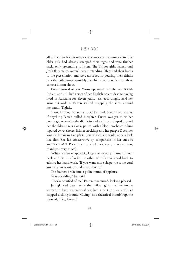all of them in bikinis or one-pieces—a sea of summer skin. The older girls had already wrapped their togas and were further back, only pretending to listen. The T-floor girls, Farren and Jess's floormates, weren't even pretending. They had their backs to the presentation and were absorbed in pouring their drinks over the railing—presumably they hit target, too, because there came a distant shout.

Farren turned to Jess. 'Arms up, sunshine.' She was British Indian, and still had traces of her English accent despite having lived in Australia for eleven years. Jess, accordingly, held her arms out wide as Farren started wrapping the sheet around her trunk. Tightly.

'Jesus, Farren, it's not a corset,' Jess said. A mistake, because if anything Farren pulled it tighter. Farren was yet to tie her own toga, or maybe she didn't intend to. It was draped around her shoulders like a cloak, paired with a black crocheted bikini top, red velvet shorts, fishnet stockings and her purple Docs, her long dark hair in two plaits. Jess wished she could work a look like that. She felt conservative by comparison in her cut-offs and Black Milk Pixie Dust zippered one-piece (limited edition, thank you very much).

'When you've wrapped it, loop the roped tail around your neck and tie it off with the other tail.' Farren stood back to admire her handiwork. 'If you want more shape, tie some cord around your waist, or under your boobs.'

The freshers broke into a polite round of applause.

'You're kidding,' Jess said.

'They're terrified of me,' Farren murmured, looking pleased.

Jess glanced past her at the T-floor girls. Leanne finally seemed to have remembered she had a part to play, and had stopped dicking around. Giving Jess a theatrical thumb's up, she shouted, 'Hey, Farren!'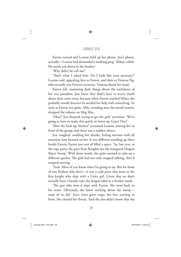Farren turned and Leanne held up her phone. Jess's phone, actually—Leanne had demanded a working prop. 'Mikey called. He needs you down in the bunker.'

'Why didn't he call me?'

'That's what I asked him. Do I look like your secretary?' Leanne said, appealing first to Farren, and then to Vanessa Ng, who actually was Farren's secretary. Vanessa shook her head.

Farren left, muttering dark things about the usefulness of her vice president. Jess knew they didn't have to worry much about their cover story, because when Farren reached Mikey she probably would discover he needed her help with something. As soon as Farren was gone, Allie, standing near the sound system, dropped the volume on Meg Mac.

'Okay!' Jess shouted, trying to get the girls' attention. 'We're going to have to make this quick, so listen up. Guys? Hey!'

'Shut the fuck up, bitches!' screamed Leanne, joining her in front of the group, and there was a sudden silence.

Jess coughed, nodding her thanks, feeling nervous with all attention now focused on her. It was different standing up there beside Farren; Farren just sort of filled a space. 'So, last year, at the toga party, the guys from Knights ran the inaugural Dragon Slayer Sweep.' With those words, the quiet seemed to take on a different quality. The girls had not only stopped talking, they'd stopped moving.

'Yeah. Most of you know what I'm going to say. But for those of you freshers who don't—it was a cash prize that went to the first knight who slept with a Unity girl. Given that we don't actually have a herald, take the dragon label as a further insult.

'The guy who won it slept with Farren. She went back to his room. Obviously, she knew nothing about the sweep none of us did.' Jess's voice grew raspy, her face starting to burn. She cleared her throat. 'And she also didn't know that the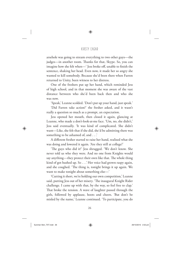arsehole was going to stream everything to two other guys—the judges—in another room. Thanks for that, Skype. So, you can imagine how she felt when—' Jess broke off, unable to finish the sentence, shaking her head. Even now, it made her so angry she wanted to kill somebody. Because she'd been there when Farren returned to Unity, been witness to her distress.

One of the freshers put up her hand, which reminded Jess of high school, and in that moment she was aware of the vast distance between who she'd been back then and who she was now.

'Speak,' Leanne scolded. 'Don't put up your hand, just speak.'

'Did Farren take action?' the fresher asked, and it wasn't really a question so much as a prompt, an expectation.

Jess opened her mouth, then closed it again, glancing at Leanne, who made a don't-look-at-me face. 'Um, no, she didn't,' Jess said eventually. 'It was kind of complicated. She didn't want—Like, she felt that if she did, she'd be admitting there was something to be ashamed of, and . . .'

A different fresher started to raise her hand, realised what she was doing and lowered it again. 'Are they still at college?'

'The guys who did it?' Jess shrugged. 'We don't know. She never told us who they were. And no one from Knights would say anything—they protect their own like that. The whole thing kind of got hushed up. So . . .' Her voice had grown raspy again, and she coughed. 'The thing is, tonight brings it up again. We want to make tonight about something else—'

'Cutting it short, we're holding our own competition,' Leanne said, putting Jess out of her misery. 'The inaugural Knight Rider challenge. I came up with that, by the way, so feel free to clap.' That broke the tension. A wave of laughter passed through the girls, followed by applause, hoots and cheers. 'But don't be misled by the name,' Leanne continued. 'To participate, you do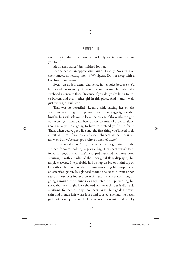not ride a knight. In fact, under absolutely no circumstances are you to—'

'Sit on their lance,' Jess finished for her.

Leanne barked an appreciative laugh. 'Exactly. No sitting on their lances, no letting them *Virile Agitur*. Do not sleep with a boy from Knights—'

'Ever,' Jess added, extra vehemence in her voice because she'd had a sudden memory of Blondie standing over her while she swabbed a concrete floor. 'Because if you do, you're like a traitor to Farren, and every other girl in this place. And—and—well, just every girl. Full stop.'

'That was so beautiful,' Leanne said, patting her on the arm. 'So we've all got the point? If you make jiggy-jiggy with a knight, Jess will ask you to leave the college. Obviously, tonight, you won't get them back here on the promise of a coffee alone, though, so you are going to have to pretend you're up for it. Then, when you've got a live one, the first thing you'll need to do is restrain him. If you pick a fresher, chances are he'll pass out anyway, but we've also got a whole bunch of these.'

Leanne nodded at Allie, always her willing assistant, who stepped forward, holding a plastic bag. Her sheet wasn't fashioned in a toga. Instead, she'd wrapped it around her like a towel, securing it with a badge of the Aboriginal flag, displaying her ample cleavage. She probably had a strapless bra or bikini top on beneath it, but you couldn't be sure—nothing like suspense as an attention getter. Jess glanced around the faces in front of her, saw all those eyes focused on Allie, and she knew the thoughts going through their minds as they toted her up: wearing her sheet that way might have showed off her rack, but it didn't do anything for her chunky shoulders. With her golden brown skin and blonde hair worn loose and tousled, she had the beach girl look down pat, though. Her make-up was minimal, smoky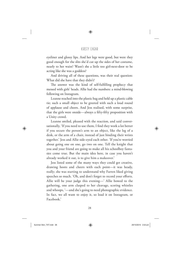eyeliner and glossy lips. And her legs were good, but were they good enough for the slits she'd cut up the sides of her costume, nearly to her waist? Wasn't she a little too girl-next-door to be acting like she was a goddess?

And driving all of these questions, was their real question: What did she have that they didn't?

The answer was the kind of self-fulfilling prophecy that messed with girls' heads. Allie had the numbers: a mind-blowing following on Instagram.

Leanne reached into the plastic bag and held up a plastic cable tie; such a small object to be greeted with such a loud round of applause and cheers. And Jess realised, with some surprise, that the girls were onside—always a fifty-fifty proposition with a Unity crowd.

Leanne smiled, pleased with the reaction, and said conversationally, 'If you need to use them, I find they work a lot better if you secure the person's arm to an object, like the leg of a desk, or the arm of a chair, instead of just binding their wrists together.' Jess and Allie side-eyed each other. 'If you're worried about going one on one, go two on one. Tell the knight that you and your friend are going to make all his schoolboy fantasies come true. But the main idea here, in case you haven't already worked it out, is to give him a makeover.'

Jess listed some of the many ways they could get creative, drawing hoots and cheers with each point—it was heady, really; she was starting to understand why Farren liked giving speeches so much. 'Oh, and don't forget to record your efforts. Allie will be your judge this evening—' Allie bowed to the gathering, one arm clasped to her cleavage, scoring whistles and whoops, '—and she's going to need photographic evidence. In fact, we all want to enjoy it, so load it on Instagram, or Facebook.'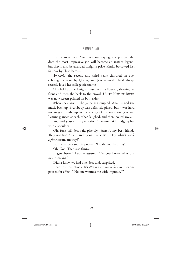Leanne took over: 'Goes without saying, the person who does the most impressive job will become an instant legend, but they'll also be awarded tonight's prize, kindly borrowed last Sunday by Flash here—'

'*Ah-aahh!*' the second and third years chorused on cue, echoing the song by Queen, and Jess grinned. She'd always secretly loved her college nickname.

Allie held up the Knights jersey with a flourish, showing its front and then the back to the crowd. UNITY KNIGHT RIDER was now screen-printed on both sides.

When they saw it, the gathering erupted. Allie turned the music back up. Everybody was definitely pissed, but it was hard not to get caught up in the energy of the occasion. Jess and Leanne glanced at each other, laughed, and then looked away.

'You and your stirring emotions,' Leanne said, nudging her with a shoulder.

'Oh, fuck off,' Jess said placidly. 'Farren's my best friend.' They watched Allie, handing out cable ties. 'Hey, what's Virile *Agitur* mean, anyway?'

Leanne made a snorting noise. '"Do the manly thing".'

'Oh, God. That is so funny.'

'It gets better,' Leanne assured. 'Do you know what our motto means?'

'Didn't know we had one,' Jess said, surprised.

'Read your handbook. It's *Nemo me impune lacessit*.' Leanne paused for effect. "No one wounds me with impunity".